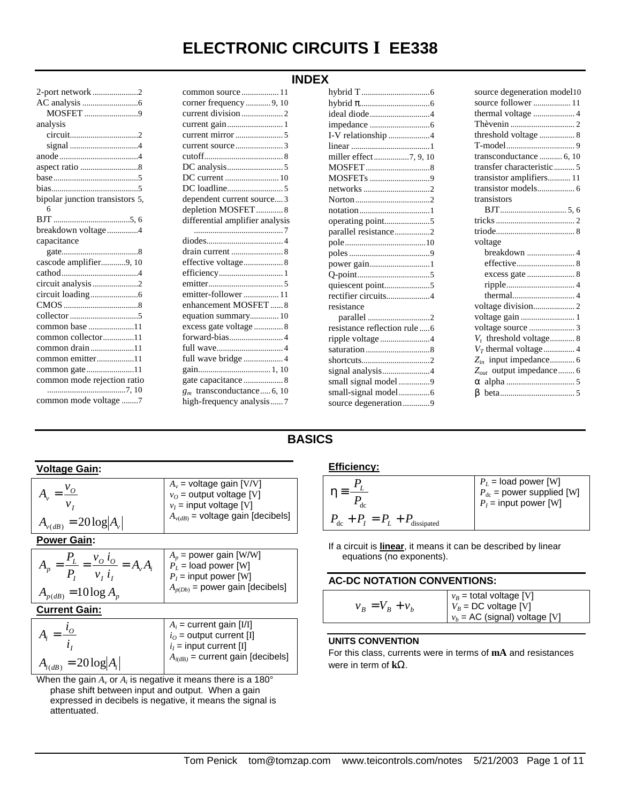# **ELECTRONIC CIRCUITS I EE338**

| Ш<br>ı |  |
|--------|--|
|--------|--|

| MOSFET 9                        |
|---------------------------------|
| analysis                        |
|                                 |
|                                 |
|                                 |
|                                 |
|                                 |
|                                 |
| bipolar junction transistors 5, |
| 6                               |
|                                 |
| breakdown voltage4              |
| capacitance                     |
|                                 |
|                                 |
| cascode amplifier9, 10          |
|                                 |
| circuit analysis 2              |
|                                 |
|                                 |
|                                 |
| common base 11                  |
| common collector11              |
| common drain 11                 |
| common emitter11                |
|                                 |
| common mode rejection ratio     |
| common mode voltage 7           |

| common source11                                          |
|----------------------------------------------------------|
| corner frequency  9, 10                                  |
|                                                          |
|                                                          |
|                                                          |
|                                                          |
|                                                          |
|                                                          |
| DC current  10                                           |
|                                                          |
| dependent current source 3                               |
| depletion MOSFET8                                        |
| differential amplifier analysis                          |
|                                                          |
|                                                          |
|                                                          |
|                                                          |
|                                                          |
|                                                          |
| emitter-follower 11                                      |
| enhancement MOSFET8                                      |
| equation summary 10                                      |
|                                                          |
| excess gate voltage  8                                   |
|                                                          |
|                                                          |
| full wave bridge  4                                      |
|                                                          |
| gate capacitance  8                                      |
| $g_m$ transconductance 6, 10<br>high-frequency analysis7 |

| ideal diode4                                |
|---------------------------------------------|
|                                             |
| I-V relationship 4                          |
|                                             |
| miller effect7, 9, 10                       |
|                                             |
|                                             |
|                                             |
|                                             |
|                                             |
| operating point5                            |
| parallel resistance2                        |
|                                             |
|                                             |
|                                             |
| power gain1                                 |
|                                             |
|                                             |
| rectifier circuits4                         |
| resistance                                  |
|                                             |
| resistance reflection rule 6                |
| ripple voltage4                             |
|                                             |
|                                             |
| signal analysis4                            |
| small signal model 9                        |
| small-signal model6<br>source degeneration9 |

| source degeneration model10         |
|-------------------------------------|
| source follower  11                 |
| thermal voltage  4                  |
|                                     |
| threshold voltage  8                |
|                                     |
| transconductance  6, 10             |
| transfer characteristic 5           |
| transistor amplifiers 11            |
|                                     |
| transistors                         |
|                                     |
|                                     |
|                                     |
| voltage                             |
| breakdown  4                        |
|                                     |
|                                     |
|                                     |
|                                     |
|                                     |
|                                     |
|                                     |
| $V_t$ threshold voltage 8           |
|                                     |
|                                     |
| Z <sub>out</sub> output impedance 6 |
|                                     |
|                                     |
|                                     |

### **BASICS**

| Voltage Gain:                                                                   |                                                                                                                                  |
|---------------------------------------------------------------------------------|----------------------------------------------------------------------------------------------------------------------------------|
| $A_{v(dB)} = 20 \log  A_v $                                                     | $A_v$ = voltage gain [V/V]<br>$v_O$ = output voltage [V]<br>$v_I$ = input voltage [V]<br>$A_{\nu(dB)}$ = voltage gain [decibels] |
| <b>Power Gain:</b>                                                              |                                                                                                                                  |
| $=\frac{P_L}{P_I}=\frac{v_O l_O}{v_I i_I}=A_v A_i$<br>$A_{p(dB)} = 10 \log A_n$ | $A_p$ = power gain [W/W]<br>$P_L$ = load power [W]<br>$P_I$ = input power [W]<br>$A_{p(Db)}$ = power gain [decibels]             |
| <b>Current Gain:</b>                                                            |                                                                                                                                  |
|                                                                                 |                                                                                                                                  |

|                             | $A_i$ = current gain [I/I]            |
|-----------------------------|---------------------------------------|
|                             | $\mid i_0$ = output current [I]       |
|                             | $i_I$ = input current [I]             |
| $A_{i(dB)} = 20 \log  A_i $ | $A_{i(dB)}$ = current gain [decibels] |

When the gain  $A_v$  or  $A_i$  is negative it means there is a 180° phase shift between input and output. When a gain expressed in decibels is negative, it means the signal is attentuated.

#### **Efficiency:**

| dc                                                  | $P_L$ = load power [W]<br>$P_{dc}$ = power supplied [W]<br>$P_I$ = input power [W] |
|-----------------------------------------------------|------------------------------------------------------------------------------------|
| $P_{\text{dc}} + P_I = P_L + P_{\text{dissipated}}$ |                                                                                    |

If a circuit is **linear**, it means it can be described by linear equations (no exponents).

#### **AC-DC NOTATION CONVENTIONS:**

|                         | $v_B$ = total voltage [V]       |  |
|-------------------------|---------------------------------|--|
| $v_{R} = V_{B} + v_{h}$ | $V_B = DC$ voltage [V]          |  |
|                         | $v_b$ = AC (signal) voltage [V] |  |

#### **UNITS CONVENTION**

For this class, currents were in terms of **mA** and resistances were in term of **kW**.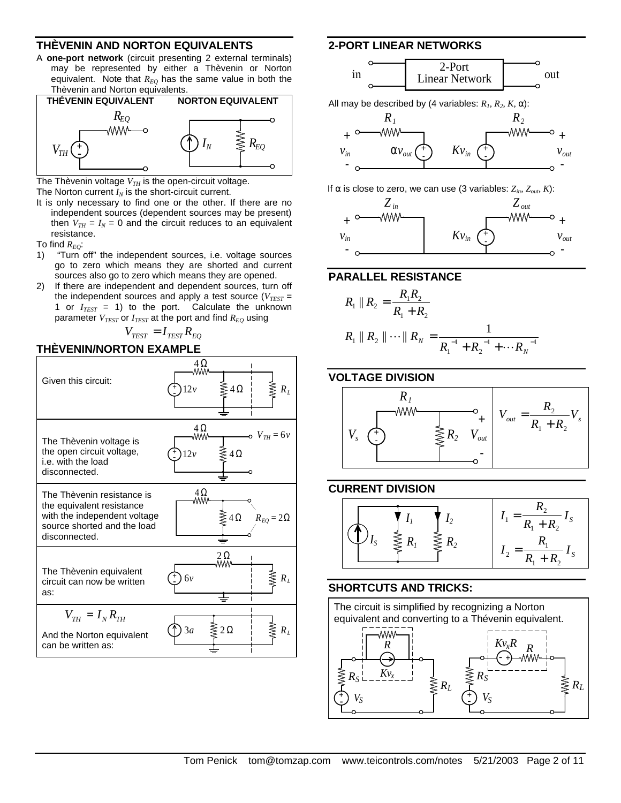#### **THÈVENIN AND NORTON EQUIVALENTS**

A **one-port network** (circuit presenting 2 external terminals) may be represented by either a Thèvenin or Norton equivalent. Note that  $R_{EO}$  has the same value in both the Thèvenin and Norton equivalents.



The Thèvenin voltage  $V_{TH}$  is the open-circuit voltage. The Norton current  $I_N$  is the short-circuit current.

- It is only necessary to find one or the other. If there are no independent sources (dependent sources may be present)
- then  $V_{TH} = I_N = 0$  and the circuit reduces to an equivalent resistance.
- To find *REQ*:
- 1) "Turn off" the independent sources, i.e. voltage sources go to zero which means they are shorted and current sources also go to zero which means they are opened.
- 2) If there are independent and dependent sources, turn off the independent sources and apply a test source ( $V_{TEST}$  = 1 or  $I_{TEST}$  = 1) to the port. Calculate the unknown parameter *VTEST* or *ITEST* at the port and find *REQ* using

 $V_{TEST} = I_{TEST} R_{EQ}$ 

#### **THÈVENIN/NORTON EXAMPLE**



#### **2-PORT LINEAR NETWORKS**



All may be described by (4 variables:  $R_1, R_2, K, \alpha$ ):



If  $\alpha$  is close to zero, we can use (3 variables:  $Z_{in}$ ,  $Z_{out}$ , K):



#### **PARALLEL RESISTANCE**

$$
R_1 \| R_2 = \frac{R_1 R_2}{R_1 + R_2}
$$
  
\n
$$
R_1 \| R_2 \| \cdots \| R_N = \frac{1}{R_1^{-1} + R_2^{-1} + \cdots + R_N^{-1}}
$$

#### **VOLTAGE DIVISION**



#### **CURRENT DIVISION**



### **SHORTCUTS AND TRICKS:**

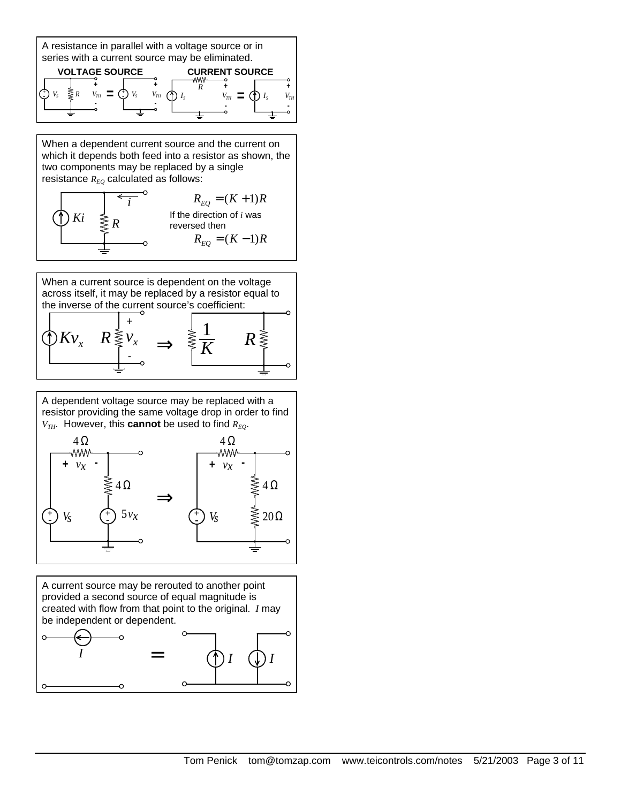

**-**

**-**

*Ki*

When a dependent current source and the current on which it depends both feed into a resistor as shown, the two components may be replaced by a single resistance  $R_{EO}$  calculated as follows: *i*  $R_{EQ} = (K + 1)R$ 



**-**

**-**

When a current source is dependent on the voltage across itself, it may be replaced by a resistor equal to the inverse of the current source's coefficient:  $Kv_{r}$   $R$   $\frac{3}{2}$  *v* +  $\mathbb{R}^n$   $R \geq \frac{1}{K}$  **p**  $\geq \frac{1}{K}$ 1 *R*

A dependent voltage source may be replaced with a resistor providing the same voltage drop in order to find  $V_{TH}$ . However, this **cannot** be used to find  $R_{EO}$ .



A current source may be rerouted to another point provided a second source of equal magnitude is created with flow from that point to the original. *I* may be independent or dependent.

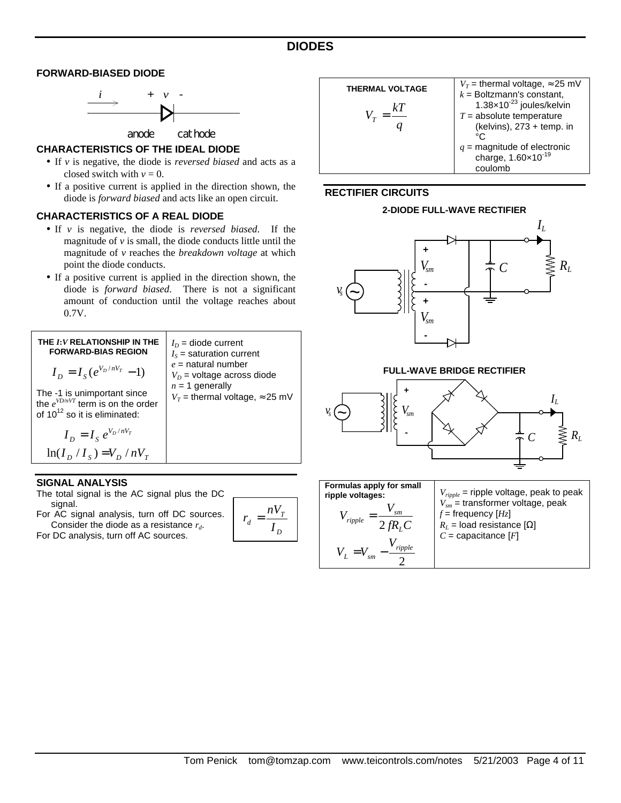#### **FORWARD-BIASED DIODE**



anode cathode

#### **CHARACTERISTICS OF THE IDEAL DIODE**

- If *v* is negative, the diode is *reversed biased* and acts as a closed switch with  $v = 0$ .
- If a positive current is applied in the direction shown, the diode is *forward biased* and acts like an open circuit.

#### **CHARACTERISTICS OF A REAL DIODE**

- If *v* is negative, the diode is *reversed biased*. If the magnitude of  $\nu$  is small, the diode conducts little until the magnitude of *v* reaches the *breakdown voltage* at which point the diode conducts.
- If a positive current is applied in the direction shown, the diode is *forward biased*. There is not a significant amount of conduction until the voltage reaches about 0.7V.



#### **SIGNAL ANALYSIS**

The total signal is the AC signal plus the DC signal.

For AC signal analysis, turn off DC sources. Consider the diode as a resistance *r<sup>d</sup>* .

For DC analysis, turn off AC sources.

$$
r_d = \frac{nV_T}{I_D}
$$



#### **RECTIFIER CIRCUITS**



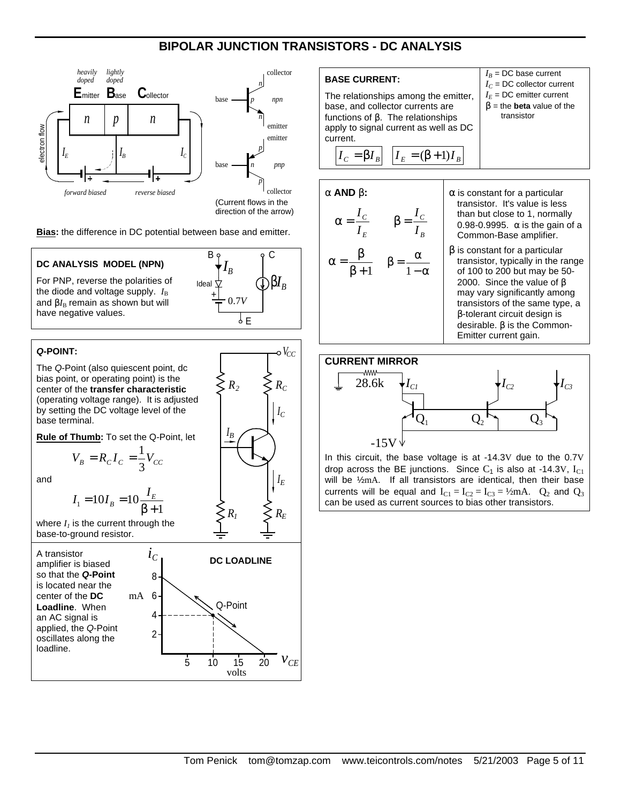# **BIPOLAR JUNCTION TRANSISTORS - DC ANALYSIS**



**Bias:** the difference in DC potential between base and emitter.



volts

#### **BASE CURRENT:**

The relationships among the emitter, base, and collector currents are functions of **b**. The relationships apply to signal current as well as DC current.

$$
I_C = \beta I_B \left| I_E = (\beta + 1)I_B \right|
$$

#### **a AND b:**

$$
\alpha = \frac{I_C}{I_E} \qquad \beta = \frac{I_C}{I_B}
$$

$$
\alpha = \frac{\beta}{\beta + 1} \qquad \beta = \frac{\alpha}{1 - \alpha}
$$

**a** is constant for a particular transistor. It's value is less than but close to 1, normally 0.98-0.9995. **a** is the gain of a Common-Base amplifier.

 $I_B$  = DC base current  $I_C$  = DC collector current  $I_E$  = DC emitter current  $\beta$  = the **beta** value of the transistor

**b** is constant for a particular transistor, typically in the range of 100 to 200 but may be 50- 2000. Since the value of **b** may vary significantly among transistors of the same type, a **b**-tolerant circuit design is desirable. **b** is the Common-Emitter current gain.

# **CURRENT MIRROR** -ww 28.6k  $\bigg| I_{C1} \bigg|$   $\bigg| I_{C2} \bigg|$   $\bigg| I_{C3}$  $Q_1$   $Q_2$   $Q_3$ -15V

In this circuit, the base voltage is at -14.3V due to the 0.7V drop across the BE junctions. Since  $C_1$  is also at -14.3V,  $I_{C1}$ will be ½mA. If all transistors are identical, then their base currents will be equal and  $I_{C1} = I_{C2} = I_{C3} = \frac{1}{2}mA$ .  $Q_2$  and  $Q_3$ can be used as current sources to bias other transistors.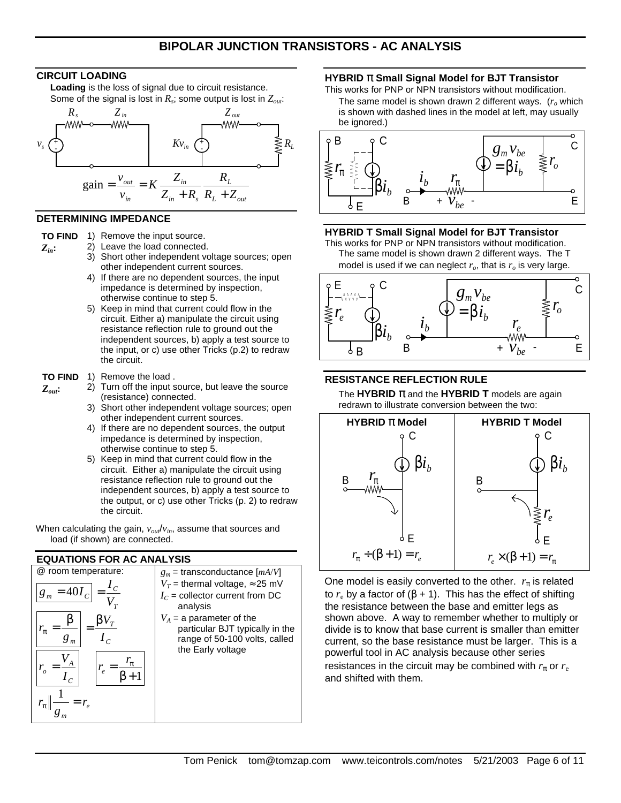#### **CIRCUIT LOADING**

**Loading** is the loss of signal due to circuit resistance. Some of the signal is lost in  $R_s$ ; some output is lost in  $Z_{out}$ :



#### **DETERMINING IMPEDANCE**

*Zin***:**

*Zout***:**

**TO FIND**  1) Remove the input source.

- 2) Leave the load connected.
	- 3) Short other independent voltage sources; open other independent current sources.
	- 4) If there are no dependent sources, the input impedance is determined by inspection, otherwise continue to step 5.
	- 5) Keep in mind that current could flow in the circuit. Either a) manipulate the circuit using resistance reflection rule to ground out the independent sources, b) apply a test source to the input, or c) use other Tricks (p.2) to redraw the circuit.

#### **TO FIND**  1) Remove the load .

- 2) Turn off the input source, but leave the source (resistance) connected.
	- 3) Short other independent voltage sources; open other independent current sources.
	- 4) If there are no dependent sources, the output impedance is determined by inspection, otherwise continue to step 5.
	- 5) Keep in mind that current could flow in the circuit. Either a) manipulate the circuit using resistance reflection rule to ground out the independent sources, b) apply a test source to the output, or c) use other Tricks (p. 2) to redraw the circuit.

When calculating the gain, *vout*/*vin*, assume that sources and load (if shown) are connected.

#### **EQUATIONS FOR AC ANALYSIS**



#### **HYBRID p Small Signal Model for BJT Transistor**

This works for PNP or NPN transistors without modification. The same model is shown drawn 2 different ways. (*ro* which is shown with dashed lines in the model at left, may usually be ignored.)



#### **HYBRID T Small Signal Model for BJT Transistor**

This works for PNP or NPN transistors without modification. The same model is shown drawn 2 different ways. The T model is used if we can neglect  $r_o$ , that is  $r_o$  is very large.



## **RESISTANCE REFLECTION RULE**

The **HYBRID p** and the **HYBRID T** models are again redrawn to illustrate conversion between the two:



One model is easily converted to the other.  $r_{\pi}$  is related to  $r_{e}$  by a factor of (β + 1). This has the effect of shifting the resistance between the base and emitter legs as shown above. A way to remember whether to multiply or divide is to know that base current is smaller than emitter current, so the base resistance must be larger. This is a powerful tool in AC analysis because other series resistances in the circuit may be combined with  $r<sub>\pi</sub>$  or  $r<sub>e</sub>$ and shifted with them.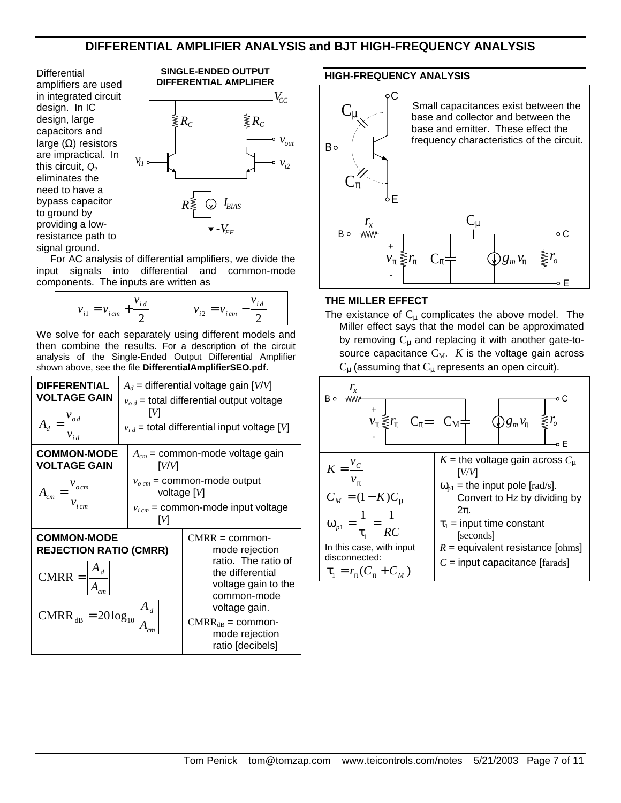# **DIFFERENTIAL AMPLIFIER ANALYSIS and BJT HIGH-FREQUENCY ANALYSIS**

**Differential** amplifiers are used in integrated circuit design. In IC design, large capacitors and large (Ω) resistors are impractical. In this circuit,  $Q_2$ eliminates the need to have a bypass capacitor to ground by providing a lowresistance path to signal ground.



For AC analysis of differential amplifiers, we divide the input signals into differential and common-mode components. The inputs are written as

$$
v_{i1} = v_{icm} + \frac{v_{id}}{2}
$$
  $v_{i2} = v_{icm} - \frac{v_{id}}{2}$ 

We solve for each separately using different models and then combine the results. For a description of the circuit analysis of the Single-Ended Output Differential Amplifier shown above, see the file **DifferentialAmplifierSEO.pdf.**

| <b>DIFFERENTIAL</b><br><b>VOLTAGE GAIN</b><br>$A_d = \frac{v_{od}}{v_{id}}$                                                                                                | $A_d$ = differential voltage gain [V/V]<br>$v_{od}$ = total differential output voltage<br>ſИ<br>$v_{i,d}$ = total differential input voltage [V]  |                                                                                                                                                                                                   |  |
|----------------------------------------------------------------------------------------------------------------------------------------------------------------------------|----------------------------------------------------------------------------------------------------------------------------------------------------|---------------------------------------------------------------------------------------------------------------------------------------------------------------------------------------------------|--|
| <b>COMMON-MODE</b><br><b>VOLTAGE GAIN</b><br>$A_{cm} = \frac{V_{ocm}}{V_{icm}}$                                                                                            | $A_{cm}$ = common-mode voltage gain<br>[V/V]<br>$v_{o, cm}$ = common-mode output<br>voltage $[V]$<br>$v_{i\,cm}$ = common-mode input voltage<br>ſИ |                                                                                                                                                                                                   |  |
| <b>COMMON-MODE</b><br><b>REJECTION RATIO (CMRR)</b><br>$CMRR = \left  \frac{A_d}{A_{cm}} \right $<br>CMRR <sub>dB</sub> = $20 \log_{10} \left  \frac{A_d}{A_{cm}} \right $ |                                                                                                                                                    | $CMRR = common$<br>mode rejection<br>ratio. The ratio of<br>the differential<br>voltage gain to the<br>common-mode<br>voltage gain.<br>$CMRR_{dB} = common$<br>mode rejection<br>ratio [decibels] |  |

#### **HIGH-FREQUENCY ANALYSIS**



#### **THE MILLER EFFECT**

The existance of  $C_{\mu}$  complicates the above model. The Miller effect says that the model can be approximated by removing  $C_u$  and replacing it with another gate-tosource capacitance  $C_M$ . *K* is the voltage gain across  $C_{\mu}$  (assuming that  $C_{\mu}$  represents an open circuit).

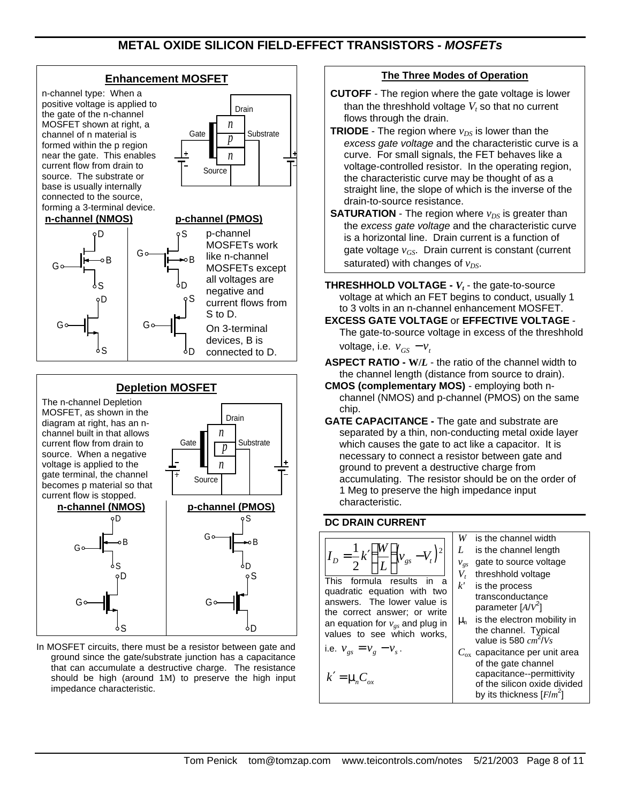# **METAL OXIDE SILICON FIELD-EFFECT TRANSISTORS -** *MOSFETs*

#### **Enhancement MOSFET**

n-channel type: When a positive voltage is applied to the gate of the n-channel MOSFET shown at right, a channel of n material is formed within the p region near the gate. This enables current flow from drain to source. The substrate or base is usually internally connected to the source, forming a 3-terminal device.



#### **n-channel (NMOS) p-channel (PMOS)** n. G S B G ۱s D G S D B G ٥Ŋ S p-channel MOSFETs work like n-channel MOSFETs except all voltages are negative and current flows from S to D. On 3-terminal devices, B is connected to D.

#### **Depletion MOSFET** The n-channel Depletion MOSFET, as shown in the diagram at right, has an nchannel built in that allows current flow from drain to source. When a negative voltage is applied to the gate terminal, the channel becomes p material so that current flow is stopped. *p* Source *n* Gate  $\prod_{n\to\infty}$  Substrate *n* Drain **n-channel (NMOS)** oD S G B **p-channel (PMOS)** G S D ۵R አs D Go— || G ბŊ S

In MOSFET circuits, there must be a resistor between gate and ground since the gate/substrate junction has a capacitance that can accumulate a destructive charge. The resistance should be high (around 1M) to preserve the high input impedance characteristic.

#### **The Three Modes of Operation**

- **CUTOFF** The region where the gate voltage is lower than the threshhold voltage  $V_t$  so that no current flows through the drain.
- **TRIODE** The region where  $v_{DS}$  is lower than the *excess gate voltage* and the characteristic curve is a curve. For small signals, the FET behaves like a voltage-controlled resistor. In the operating region, the characteristic curve may be thought of as a straight line, the slope of which is the inverse of the drain-to-source resistance.
- **SATURATION** The region where  $v_{DS}$  is greater than the *excess gate voltage* and the characteristic curve is a horizontal line. Drain current is a function of gate voltage *vGS*. Drain current is constant (current saturated) with changes of  $v_{DS}$ .
- **THRESHHOLD VOLTAGE -**  $V_t$  the gate-to-source voltage at which an FET begins to conduct, usually 1 to 3 volts in an n-channel enhancement MOSFET.
- **EXCESS GATE VOLTAGE** or **EFFECTIVE VOLTAGE** The gate-to-source voltage in excess of the threshhold

voltage, i.e.  $v_{GS} - v_t$ 

- **ASPECT RATIO - W/***L* the ratio of the channel width to the channel length (distance from source to drain).
- **CMOS (complementary MOS)** employing both nchannel (NMOS) and p-channel (PMOS) on the same chip.
- **GATE CAPACITANCE -** The gate and substrate are separated by a thin, non-conducting metal oxide layer which causes the gate to act like a capacitor. It is necessary to connect a resistor between gate and ground to prevent a destructive charge from accumulating. The resistor should be on the order of 1 Meg to preserve the high impedance input characteristic.

#### **DC DRAIN CURRENT**



This formula results in a quadratic equation with two answers. The lower value is the correct answer; or write an equation for *vgs* and plug in values to see which works,

i.e. 
$$
v_{gs} = v_g - v_s
$$
.

$$
k' = \mu_n C_{ox}
$$

#### *W* is the channel width

- *L* is the channel length
- *vgs* gate to source voltage
- *Vt* threshhold voltage
- *k'* is the process transconductance
- parameter [*A*/*V* 2 ]  $\mu_n$  is the electron mobility in the channel. Typical
- value is 580 *cm* 2 /*Vs C*ox capacitance per unit area
	- of the gate channel capacitance--permittivity of the silicon oxide divided by its thickness [*F*/*m* 2 ]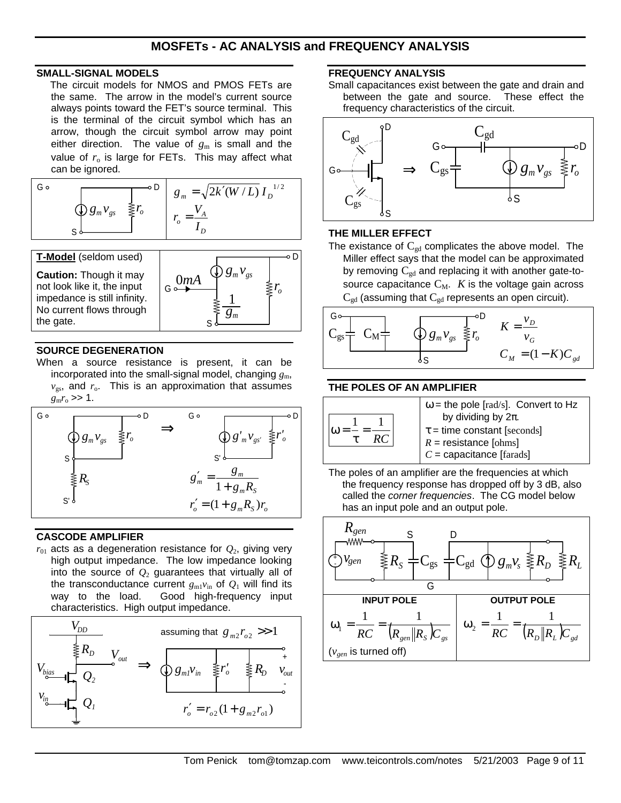# **MOSFETs - AC ANALYSIS and FREQUENCY ANALYSIS**

#### **SMALL-SIGNAL MODELS**

The circuit models for NMOS and PMOS FETs are the same. The arrow in the model's current source always points toward the FET's source terminal. This is the terminal of the circuit symbol which has an arrow, though the circuit symbol arrow may point either direction. The value of  $g_m$  is small and the value of  $r_0$  is large for FETs. This may affect what can be ignored.

$$
\begin{array}{|c|c|c|}\n\hline\nG \circ & & & \circ D \\
\hline\n\circ & & & g_m = \sqrt{2k'(W/L)} I_D^{-1/2} \\
\hline\n\circ & & & r_o = \frac{V_A}{I_D}\n\end{array}
$$

**T-Model** (seldom used) **Caution:** Though it may not look like it, the input impedance is still infinity. No current flows through the gate.



#### **SOURCE DEGENERATION**

When a source resistance is present, it can be incorporated into the small-signal model, changing  $g_m$ ,  $v_{\rm gs}$ , and  $r_{\rm o}$ . This is an approximation that assumes  $g_{\rm m} r_{\rm o} >> 1$ .



#### **CASCODE AMPLIFIER**

 $r_{01}$  acts as a degeneration resistance for  $Q_2$ , giving very high output impedance. The low impedance looking into the source of  $Q_2$  guarantees that virtually all of the transconductance current  $g_{m1}v_{in}$  of  $Q_1$  will find its way to the load. Good high-frequency input Good high-frequency input characteristics. High output impedance.



## **FREQUENCY ANALYSIS**

Small capacitances exist between the gate and drain and between the gate and source. These effect the frequency characteristics of the circuit.



#### **THE MILLER EFFECT**

The existance of  $C_{gd}$  complicates the above model. The Miller effect says that the model can be approximated by removing  $C_{gd}$  and replacing it with another gate-tosource capacitance  $C_M$ . *K* is the voltage gain across  $C_{gd}$  (assuming that  $C_{gd}$  represents an open circuit).



#### **THE POLES OF AN AMPLIFIER**



 $\omega$  = the pole [rad/s]. Convert to Hz by dividing by 2π.  $\tau$  = time constant [seconds]  $R =$  resistance [ohms] *C* = capacitance [farads]

The poles of an amplifier are the frequencies at which the frequency response has dropped off by 3 dB, also called the *corner frequencies*. The CG model below has an input pole and an output pole.

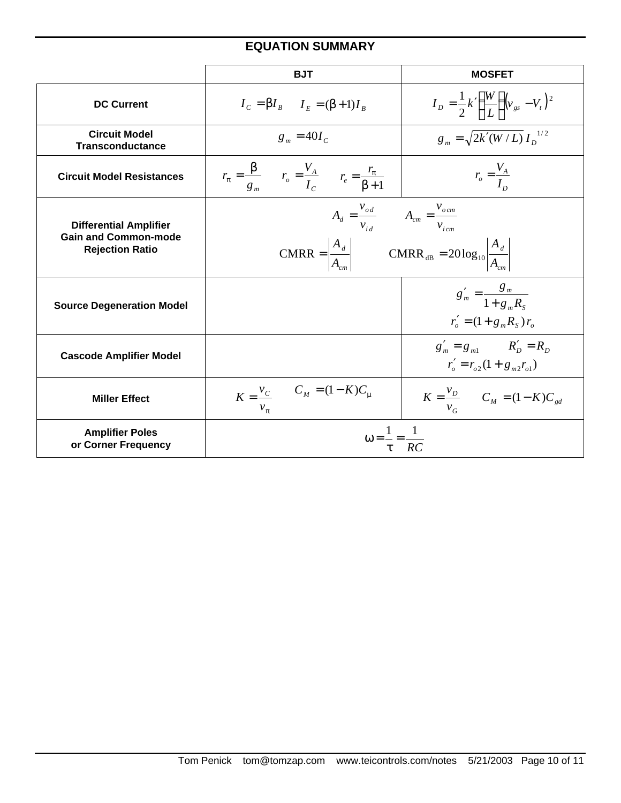# **EQUATION SUMMARY**

|                                                                                        | <b>BJT</b>                                                                                                                                                                                | <b>MOSFET</b>                                                      |
|----------------------------------------------------------------------------------------|-------------------------------------------------------------------------------------------------------------------------------------------------------------------------------------------|--------------------------------------------------------------------|
| <b>DC Current</b>                                                                      | $I_c = \beta I_B$ $I_F = (\beta + 1)I_B$                                                                                                                                                  | $I_D = \frac{1}{2} k' \left(\frac{W}{L}\right) (v_{gs} - V_t)^2$   |
| <b>Circuit Model</b><br><b>Transconductance</b>                                        | $g_m = 40I_c$                                                                                                                                                                             | $g_m = \sqrt{2k'(W/L)} I_n^{1/2}$                                  |
| <b>Circuit Model Resistances</b>                                                       | $r_{\pi} = \frac{\beta}{g_m}$ $r_o = \frac{V_A}{I_C}$ $r_e = \frac{r_{\pi}}{\beta + 1}$                                                                                                   | $r_o = \frac{v_A}{I_P}$                                            |
| <b>Differential Amplifier</b><br><b>Gain and Common-mode</b><br><b>Rejection Ratio</b> | $A_d = \frac{v_{od}}{v_{id}}$ $A_{cm} = \frac{v_{ocm}}{v_{icm}}$<br>CMRR = $\left  \frac{A_d}{A_m} \right $ CMRR <sub>dB</sub> = 20 log <sub>10</sub> $\left  \frac{A_d}{A_{cm}} \right $ |                                                                    |
| <b>Source Degeneration Model</b>                                                       |                                                                                                                                                                                           | $g'_m = \frac{g_m}{1 + g_R}$<br>$r'_{o} = (1 + g_{m} R_{s}) r_{o}$ |
| <b>Cascode Amplifier Model</b>                                                         |                                                                                                                                                                                           | $g'_m = g_{m1}$ $R'_D = R_D$<br>$r'_o = r_{o2}(1 + g_m r_{o1})$    |
| <b>Miller Effect</b>                                                                   | $K = \frac{v_C}{c}$ $C_M = (1 - K)C_\mu$<br>$v_{\pi}$                                                                                                                                     | $K = \frac{V_D}{V_M}$ $C_M = (1 - K)C_{gd}$<br>$v_{\alpha}$        |
| <b>Amplifier Poles</b><br>or Corner Frequency                                          | $\omega = \frac{1}{\tau} = \frac{1}{RC}$                                                                                                                                                  |                                                                    |